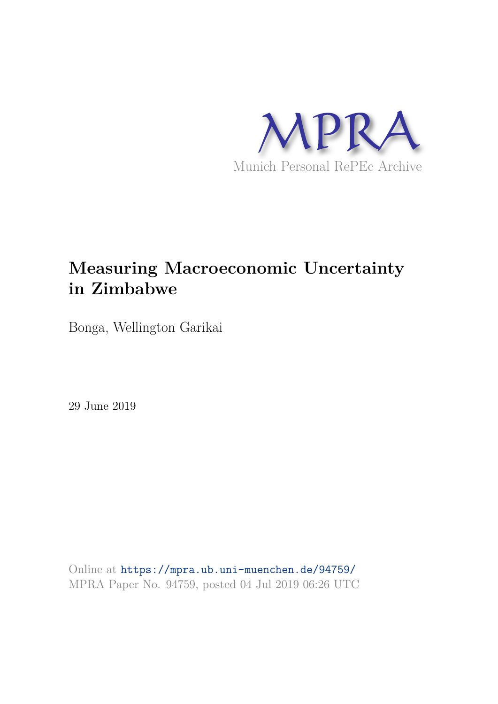

# **Measuring Macroeconomic Uncertainty in Zimbabwe**

Bonga, Wellington Garikai

29 June 2019

Online at https://mpra.ub.uni-muenchen.de/94759/ MPRA Paper No. 94759, posted 04 Jul 2019 06:26 UTC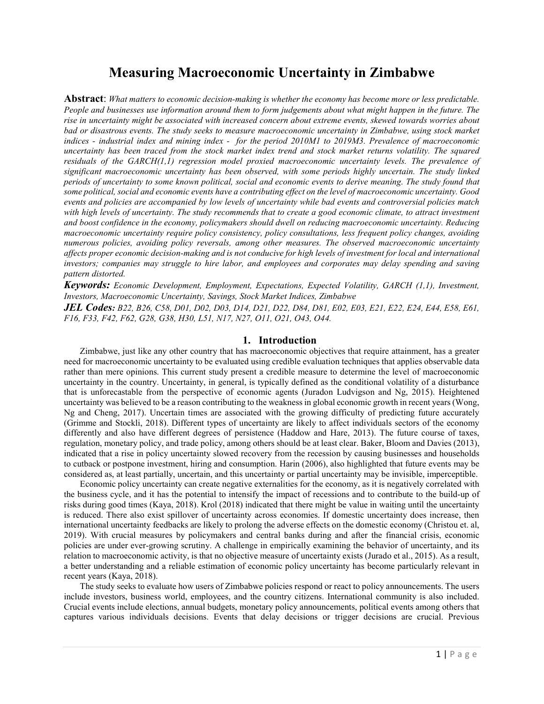## Measuring Macroeconomic Uncertainty in Zimbabwe

Abstract: What matters to economic decision-making is whether the economy has become more or less predictable. People and businesses use information around them to form judgements about what might happen in the future. The rise in uncertainty might be associated with increased concern about extreme events, skewed towards worries about bad or disastrous events. The study seeks to measure macroeconomic uncertainty in Zimbabwe, using stock market indices - industrial index and mining index - for the period 2010M1 to 2019M3. Prevalence of macroeconomic uncertainty has been traced from the stock market index trend and stock market returns volatility. The squared residuals of the GARCH(1,1) regression model proxied macroeconomic uncertainty levels. The prevalence of significant macroeconomic uncertainty has been observed, with some periods highly uncertain. The study linked periods of uncertainty to some known political, social and economic events to derive meaning. The study found that some political, social and economic events have a contributing effect on the level of macroeconomic uncertainty. Good events and policies are accompanied by low levels of uncertainty while bad events and controversial policies match with high levels of uncertainty. The study recommends that to create a good economic climate, to attract investment and boost confidence in the economy, policymakers should dwell on reducing macroeconomic uncertainty. Reducing macroeconomic uncertainty require policy consistency, policy consultations, less frequent policy changes, avoiding numerous policies, avoiding policy reversals, among other measures. The observed macroeconomic uncertainty affects proper economic decision-making and is not conducive for high levels of investment for local and international investors; companies may struggle to hire labor, and employees and corporates may delay spending and saving pattern distorted.

Keywords: Economic Development, Employment, Expectations, Expected Volatility, GARCH (1,1), Investment, Investors, Macroeconomic Uncertainty, Savings, Stock Market Indices, Zimbabwe

JEL Codes: B22, B26, C58, D01, D02, D03, D14, D21, D22, D84, D81, E02, E03, E21, E22, E24, E44, E58, E61, F16, F33, F42, F62, G28, G38, H30, L51, N17, N27, O11, O21, O43, O44.

#### 1. Introduction

Zimbabwe, just like any other country that has macroeconomic objectives that require attainment, has a greater need for macroeconomic uncertainty to be evaluated using credible evaluation techniques that applies observable data rather than mere opinions. This current study present a credible measure to determine the level of macroeconomic uncertainty in the country. Uncertainty, in general, is typically defined as the conditional volatility of a disturbance that is unforecastable from the perspective of economic agents (Juradon Ludvigson and Ng, 2015). Heightened uncertainty was believed to be a reason contributing to the weakness in global economic growth in recent years (Wong, Ng and Cheng, 2017). Uncertain times are associated with the growing difficulty of predicting future accurately (Grimme and Stockli, 2018). Different types of uncertainty are likely to affect individuals sectors of the economy differently and also have different degrees of persistence (Haddow and Hare, 2013). The future course of taxes, regulation, monetary policy, and trade policy, among others should be at least clear. Baker, Bloom and Davies (2013), indicated that a rise in policy uncertainty slowed recovery from the recession by causing businesses and households to cutback or postpone investment, hiring and consumption. Harin (2006), also highlighted that future events may be considered as, at least partially, uncertain, and this uncertainty or partial uncertainty may be invisible, imperceptible.

Economic policy uncertainty can create negative externalities for the economy, as it is negatively correlated with the business cycle, and it has the potential to intensify the impact of recessions and to contribute to the build-up of risks during good times (Kaya, 2018). Krol (2018) indicated that there might be value in waiting until the uncertainty is reduced. There also exist spillover of uncertainty across economies. If domestic uncertainty does increase, then international uncertainty feedbacks are likely to prolong the adverse effects on the domestic economy (Christou et. al, 2019). With crucial measures by policymakers and central banks during and after the financial crisis, economic policies are under ever-growing scrutiny. A challenge in empirically examining the behavior of uncertainty, and its relation to macroeconomic activity, is that no objective measure of uncertainty exists (Jurado et al., 2015). As a result, a better understanding and a reliable estimation of economic policy uncertainty has become particularly relevant in recent years (Kaya, 2018).

The study seeks to evaluate how users of Zimbabwe policies respond or react to policy announcements. The users include investors, business world, employees, and the country citizens. International community is also included. Crucial events include elections, annual budgets, monetary policy announcements, political events among others that captures various individuals decisions. Events that delay decisions or trigger decisions are crucial. Previous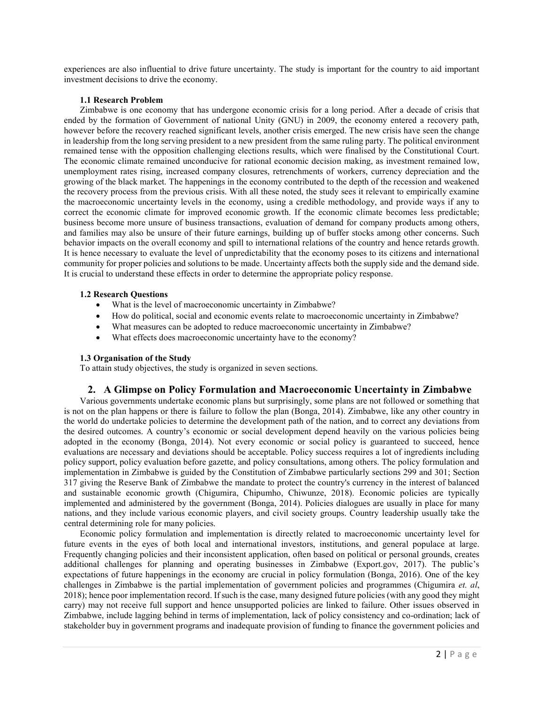experiences are also influential to drive future uncertainty. The study is important for the country to aid important investment decisions to drive the economy.

#### 1.1 Research Problem

Zimbabwe is one economy that has undergone economic crisis for a long period. After a decade of crisis that ended by the formation of Government of national Unity (GNU) in 2009, the economy entered a recovery path, however before the recovery reached significant levels, another crisis emerged. The new crisis have seen the change in leadership from the long serving president to a new president from the same ruling party. The political environment remained tense with the opposition challenging elections results, which were finalised by the Constitutional Court. The economic climate remained unconducive for rational economic decision making, as investment remained low, unemployment rates rising, increased company closures, retrenchments of workers, currency depreciation and the growing of the black market. The happenings in the economy contributed to the depth of the recession and weakened the recovery process from the previous crisis. With all these noted, the study sees it relevant to empirically examine the macroeconomic uncertainty levels in the economy, using a credible methodology, and provide ways if any to correct the economic climate for improved economic growth. If the economic climate becomes less predictable; business become more unsure of business transactions, evaluation of demand for company products among others, and families may also be unsure of their future earnings, building up of buffer stocks among other concerns. Such behavior impacts on the overall economy and spill to international relations of the country and hence retards growth. It is hence necessary to evaluate the level of unpredictability that the economy poses to its citizens and international community for proper policies and solutions to be made. Uncertainty affects both the supply side and the demand side. It is crucial to understand these effects in order to determine the appropriate policy response.

#### 1.2 Research Questions

- What is the level of macroeconomic uncertainty in Zimbabwe?
- How do political, social and economic events relate to macroeconomic uncertainty in Zimbabwe?
- What measures can be adopted to reduce macroeconomic uncertainty in Zimbabwe?
- What effects does macroeconomic uncertainty have to the economy?

#### 1.3 Organisation of the Study

To attain study objectives, the study is organized in seven sections.

### 2. A Glimpse on Policy Formulation and Macroeconomic Uncertainty in Zimbabwe

Various governments undertake economic plans but surprisingly, some plans are not followed or something that is not on the plan happens or there is failure to follow the plan (Bonga, 2014). Zimbabwe, like any other country in the world do undertake policies to determine the development path of the nation, and to correct any deviations from the desired outcomes. A country's economic or social development depend heavily on the various policies being adopted in the economy (Bonga, 2014). Not every economic or social policy is guaranteed to succeed, hence evaluations are necessary and deviations should be acceptable. Policy success requires a lot of ingredients including policy support, policy evaluation before gazette, and policy consultations, among others. The policy formulation and implementation in Zimbabwe is guided by the Constitution of Zimbabwe particularly sections 299 and 301; Section 317 giving the Reserve Bank of Zimbabwe the mandate to protect the country's currency in the interest of balanced and sustainable economic growth (Chigumira, Chipumho, Chiwunze, 2018). Economic policies are typically implemented and administered by the government (Bonga, 2014). Policies dialogues are usually in place for many nations, and they include various economic players, and civil society groups. Country leadership usually take the central determining role for many policies.

Economic policy formulation and implementation is directly related to macroeconomic uncertainty level for future events in the eyes of both local and international investors, institutions, and general populace at large. Frequently changing policies and their inconsistent application, often based on political or personal grounds, creates additional challenges for planning and operating businesses in Zimbabwe (Export.gov, 2017). The public's expectations of future happenings in the economy are crucial in policy formulation (Bonga, 2016). One of the key challenges in Zimbabwe is the partial implementation of government policies and programmes (Chigumira et. al, 2018); hence poor implementation record. If such is the case, many designed future policies (with any good they might carry) may not receive full support and hence unsupported policies are linked to failure. Other issues observed in Zimbabwe, include lagging behind in terms of implementation, lack of policy consistency and co-ordination; lack of stakeholder buy in government programs and inadequate provision of funding to finance the government policies and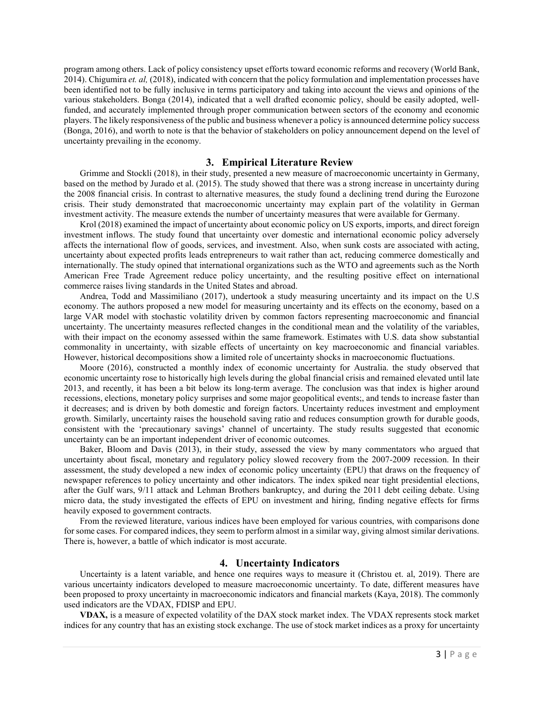program among others. Lack of policy consistency upset efforts toward economic reforms and recovery (World Bank, 2014). Chigumira et. al. (2018), indicated with concern that the policy formulation and implementation processes have been identified not to be fully inclusive in terms participatory and taking into account the views and opinions of the various stakeholders. Bonga (2014), indicated that a well drafted economic policy, should be easily adopted, wellfunded, and accurately implemented through proper communication between sectors of the economy and economic players. The likely responsiveness of the public and business whenever a policy is announced determine policy success (Bonga, 2016), and worth to note is that the behavior of stakeholders on policy announcement depend on the level of uncertainty prevailing in the economy.

#### 3. Empirical Literature Review

Grimme and Stockli (2018), in their study, presented a new measure of macroeconomic uncertainty in Germany, based on the method by Jurado et al. (2015). The study showed that there was a strong increase in uncertainty during the 2008 financial crisis. In contrast to alternative measures, the study found a declining trend during the Eurozone crisis. Their study demonstrated that macroeconomic uncertainty may explain part of the volatility in German investment activity. The measure extends the number of uncertainty measures that were available for Germany.

Krol (2018) examined the impact of uncertainty about economic policy on US exports, imports, and direct foreign investment inflows. The study found that uncertainty over domestic and international economic policy adversely affects the international flow of goods, services, and investment. Also, when sunk costs are associated with acting, uncertainty about expected profits leads entrepreneurs to wait rather than act, reducing commerce domestically and internationally. The study opined that international organizations such as the WTO and agreements such as the North American Free Trade Agreement reduce policy uncertainty, and the resulting positive effect on international commerce raises living standards in the United States and abroad.

Andrea, Todd and Massimiliano (2017), undertook a study measuring uncertainty and its impact on the U.S economy. The authors proposed a new model for measuring uncertainty and its effects on the economy, based on a large VAR model with stochastic volatility driven by common factors representing macroeconomic and financial uncertainty. The uncertainty measures reflected changes in the conditional mean and the volatility of the variables, with their impact on the economy assessed within the same framework. Estimates with U.S. data show substantial commonality in uncertainty, with sizable effects of uncertainty on key macroeconomic and financial variables. However, historical decompositions show a limited role of uncertainty shocks in macroeconomic fluctuations.

Moore (2016), constructed a monthly index of economic uncertainty for Australia. the study observed that economic uncertainty rose to historically high levels during the global financial crisis and remained elevated until late 2013, and recently, it has been a bit below its long-term average. The conclusion was that index is higher around recessions, elections, monetary policy surprises and some major geopolitical events;, and tends to increase faster than it decreases; and is driven by both domestic and foreign factors. Uncertainty reduces investment and employment growth. Similarly, uncertainty raises the household saving ratio and reduces consumption growth for durable goods, consistent with the 'precautionary savings' channel of uncertainty. The study results suggested that economic uncertainty can be an important independent driver of economic outcomes.

Baker, Bloom and Davis (2013), in their study, assessed the view by many commentators who argued that uncertainty about fiscal, monetary and regulatory policy slowed recovery from the 2007-2009 recession. In their assessment, the study developed a new index of economic policy uncertainty (EPU) that draws on the frequency of newspaper references to policy uncertainty and other indicators. The index spiked near tight presidential elections, after the Gulf wars, 9/11 attack and Lehman Brothers bankruptcy, and during the 2011 debt ceiling debate. Using micro data, the study investigated the effects of EPU on investment and hiring, finding negative effects for firms heavily exposed to government contracts.

From the reviewed literature, various indices have been employed for various countries, with comparisons done for some cases. For compared indices, they seem to perform almost in a similar way, giving almost similar derivations. There is, however, a battle of which indicator is most accurate.

#### 4. Uncertainty Indicators

Uncertainty is a latent variable, and hence one requires ways to measure it (Christou et. al, 2019). There are various uncertainty indicators developed to measure macroeconomic uncertainty. To date, different measures have been proposed to proxy uncertainty in macroeconomic indicators and financial markets (Kaya, 2018). The commonly used indicators are the VDAX, FDISP and EPU.

VDAX, is a measure of expected volatility of the DAX stock market index. The VDAX represents stock market indices for any country that has an existing stock exchange. The use of stock market indices as a proxy for uncertainty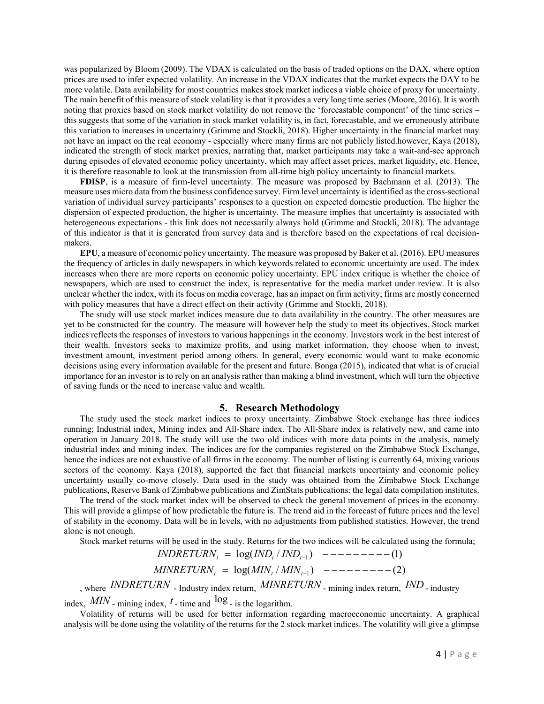was popularized by Bloom (2009). The VDAX is calculated on the basis of traded options on the DAX, where option prices are used to infer expected volatility. An increase in the VDAX indicates that the market expects the DAY to be more volatile. Data availability for most countries makes stock market indices a viable choice of proxy for uncertainty. The main benefit of this measure of stock volatility is that it provides a very long time series (Moore, 2016). It is worth noting that proxies based on stock market volatility do not remove the 'forecastable component' of the time series – this suggests that some of the variation in stock market volatility is, in fact, forecastable, and we erroneously attribute this variation to increases in uncertainty (Grimme and Stockli, 2018). Higher uncertainty in the financial market may not have an impact on the real economy - especially where many firms are not publicly listed.however, Kaya (2018), indicated the strength of stock market proxies, narrating that, market participants may take a wait-and-see approach during episodes of elevated economic policy uncertainty, which may affect asset prices, market liquidity, etc. Hence, it is therefore reasonable to look at the transmission from all-time high policy uncertainty to financial markets.

FDISP, is a measure of firm-level uncertainty. The measure was proposed by Bachmann et al. (2013). The measure uses micro data from the business confidence survey. Firm level uncertainty is identified as the cross-sectional variation of individual survey participants' responses to a question on expected domestic production. The higher the dispersion of expected production, the higher is uncertainty. The measure implies that uncertainty is associated with heterogeneous expectations - this link does not necessarily always hold (Grimme and Stockli, 2018). The advantage of this indicator is that it is generated from survey data and is therefore based on the expectations of real decisionmakers.

EPU, a measure of economic policy uncertainty. The measure was proposed by Baker et al. (2016). EPU measures the frequency of articles in daily newspapers in which keywords related to economic uncertainty are used. The index increases when there are more reports on economic policy uncertainty. EPU index critique is whether the choice of newspapers, which are used to construct the index, is representative for the media market under review. It is also unclear whether the index, with its focus on media coverage, has an impact on firm activity; firms are mostly concerned with policy measures that have a direct effect on their activity (Grimme and Stockli, 2018).

The study will use stock market indices measure due to data availability in the country. The other measures are yet to be constructed for the country. The measure will however help the study to meet its objectives. Stock market indices reflects the responses of investors to various happenings in the economy. Investors work in the best interest of their wealth. Investors seeks to maximize profits, and using market information, they choose when to invest, investment amount, investment period among others. In general, every economic would want to make economic decisions using every information available for the present and future. Bonga (2015), indicated that what is of crucial importance for an investor is to rely on an analysis rather than making a blind investment, which will turn the objective of saving funds or the need to increase value and wealth.

#### 5. Research Methodology

The study used the stock market indices to proxy uncertainty. Zimbabwe Stock exchange has three indices running; Industrial index, Mining index and All-Share index. The All-Share index is relatively new, and came into operation in January 2018. The study will use the two old indices with more data points in the analysis, namely industrial index and mining index. The indices are for the companies registered on the Zimbabwe Stock Exchange, hence the indices are not exhaustive of all firms in the economy. The number of listing is currently 64, mixing various sectors of the economy. Kaya (2018), supported the fact that financial markets uncertainty and economic policy uncertainty usually co-move closely. Data used in the study was obtained from the Zimbabwe Stock Exchange publications, Reserve Bank of Zimbabwe publications and ZimStats publications: the legal data compilation institutes.

The trend of the stock market index will be observed to check the general movement of prices in the economy. This will provide a glimpse of how predictable the future is. The trend aid in the forecast of future prices and the level of stability in the economy. Data will be in levels, with no adjustments from published statistics. However, the trend alone is not enough.

Stock market returns will be used in the study. Returns for the two indices will be calculated using the formula;

$$
INDEXURN_t = \log(IND_t / IND_{t-1})
$$
 --- --- (1)  
\n
$$
MINRETURN_t = \log(MIN_t / MIN_{t-1})
$$
 --- --- (2)

, where INDRETURN - Industry index return,  $MINRETURN$  - mining index return,  $IND$  - industry

index,  $MIN$  - mining index,  $t$  - time and  $\log$  - is the logarithm.

Volatility of returns will be used for better information regarding macroeconomic uncertainty. A graphical analysis will be done using the volatility of the returns for the 2 stock market indices. The volatility will give a glimpse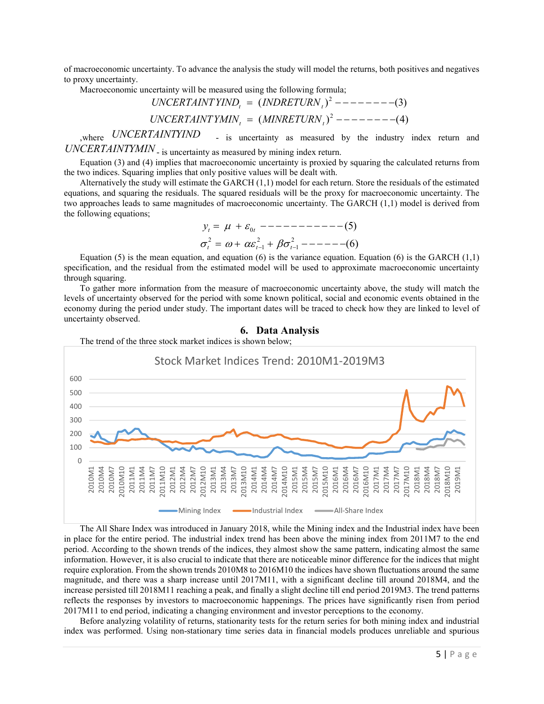of macroeconomic uncertainty. To advance the analysis the study will model the returns, both positives and negatives to proxy uncertainty.

Macroeconomic uncertainty will be measured using the following formula;

$$
UNCERTAINTYINDt = (INDRETURNt)2 --- --- (3)
$$
  

$$
UNCERTAINTYMINt = (MINRETURNt)2 --- --- (4)
$$

where UNCERTAINTYIND - is uncertainty as measured by the industry index return and UNCERTAINTYMIN - is uncertainty as measured by mining index return.

Equation (3) and (4) implies that macroeconomic uncertainty is proxied by squaring the calculated returns from the two indices. Squaring implies that only positive values will be dealt with.

Alternatively the study will estimate the GARCH (1,1) model for each return. Store the residuals of the estimated equations, and squaring the residuals. The squared residuals will be the proxy for macroeconomic uncertainty. The two approaches leads to same magnitudes of macroeconomic uncertainty. The GARCH (1,1) model is derived from the following equations;

$$
y_{t} = \mu + \varepsilon_{0t} \quad (5)
$$
\n
$$
\sigma_{t}^{2} = \omega + \alpha \varepsilon_{t-1}^{2} + \beta \sigma_{t-1}^{2} - (6)
$$

Equation (5) is the mean equation, and equation (6) is the variance equation. Equation (6) is the GARCH  $(1,1)$ specification, and the residual from the estimated model will be used to approximate macroeconomic uncertainty through squaring.

To gather more information from the measure of macroeconomic uncertainty above, the study will match the levels of uncertainty observed for the period with some known political, social and economic events obtained in the economy during the period under study. The important dates will be traced to check how they are linked to level of uncertainty observed.



The All Share Index was introduced in January 2018, while the Mining index and the Industrial index have been in place for the entire period. The industrial index trend has been above the mining index from 2011M7 to the end period. According to the shown trends of the indices, they almost show the same pattern, indicating almost the same information. However, it is also crucial to indicate that there are noticeable minor difference for the indices that might require exploration. From the shown trends 2010M8 to 2016M10 the indices have shown fluctuations around the same magnitude, and there was a sharp increase until 2017M11, with a significant decline till around 2018M4, and the increase persisted till 2018M11 reaching a peak, and finally a slight decline till end period 2019M3. The trend patterns reflects the responses by investors to macroeconomic happenings. The prices have significantly risen from period 2017M11 to end period, indicating a changing environment and investor perceptions to the economy.

Before analyzing volatility of returns, stationarity tests for the return series for both mining index and industrial index was performed. Using non-stationary time series data in financial models produces unreliable and spurious

#### 6. Data Analysis

The trend of the three stock market indices is shown below;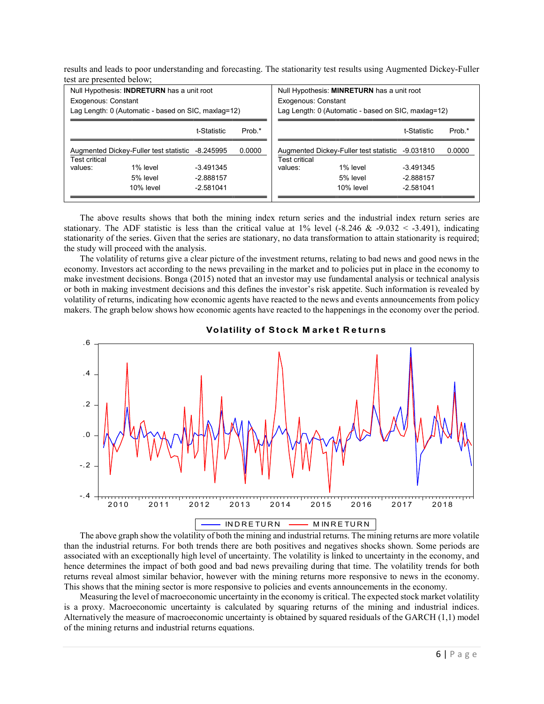results and leads to poor understanding and forecasting. The stationarity test results using Augmented Dickey-Fuller test are presented below;

| Null Hypothesis: INDRETURN has a unit root<br>Exogenous: Constant<br>Lag Length: 0 (Automatic - based on SIC, maxlag=12) |              |             |                                                                             | Null Hypothesis: MINRETURN has a unit root<br>Exogenous: Constant<br>Lag Length: 0 (Automatic - based on SIC, maxlag=12) |           |             |        |
|--------------------------------------------------------------------------------------------------------------------------|--------------|-------------|-----------------------------------------------------------------------------|--------------------------------------------------------------------------------------------------------------------------|-----------|-------------|--------|
|                                                                                                                          |              | t-Statistic | Prob.*                                                                      |                                                                                                                          |           | t-Statistic | Prob.* |
| Augmented Dickey-Fuller test statistic -8.245995<br>0.0000<br>Test critical                                              |              |             | Augmented Dickey-Fuller test statistic -9.031810<br>0.0000<br>Test critical |                                                                                                                          |           |             |        |
| values:                                                                                                                  | 1% level     | $-3.491345$ |                                                                             | values:                                                                                                                  | 1% level  | -3.491345   |        |
|                                                                                                                          | 5% level     | $-2.888157$ |                                                                             |                                                                                                                          | 5% level  | $-2.888157$ |        |
|                                                                                                                          | $10\%$ level | $-2.581041$ |                                                                             |                                                                                                                          | 10% level | $-2.581041$ |        |

The above results shows that both the mining index return series and the industrial index return series are stationary. The ADF statistic is less than the critical value at 1% level  $(-8.246 \& -9.032 \& -3.491)$ , indicating stationarity of the series. Given that the series are stationary, no data transformation to attain stationarity is required; the study will proceed with the analysis.

The volatility of returns give a clear picture of the investment returns, relating to bad news and good news in the economy. Investors act according to the news prevailing in the market and to policies put in place in the economy to make investment decisions. Bonga (2015) noted that an investor may use fundamental analysis or technical analysis or both in making investment decisions and this defines the investor's risk appetite. Such information is revealed by volatility of returns, indicating how economic agents have reacted to the news and events announcements from policy makers. The graph below shows how economic agents have reacted to the happenings in the economy over the period.



Volatility of Stock Market Returns

The above graph show the volatility of both the mining and industrial returns. The mining returns are more volatile than the industrial returns. For both trends there are both positives and negatives shocks shown. Some periods are associated with an exceptionally high level of uncertainty. The volatility is linked to uncertainty in the economy, and hence determines the impact of both good and bad news prevailing during that time. The volatility trends for both returns reveal almost similar behavior, however with the mining returns more responsive to news in the economy. This shows that the mining sector is more responsive to policies and events announcements in the economy.

Measuring the level of macroeconomic uncertainty in the economy is critical. The expected stock market volatility is a proxy. Macroeconomic uncertainty is calculated by squaring returns of the mining and industrial indices. Alternatively the measure of macroeconomic uncertainty is obtained by squared residuals of the GARCH (1,1) model of the mining returns and industrial returns equations.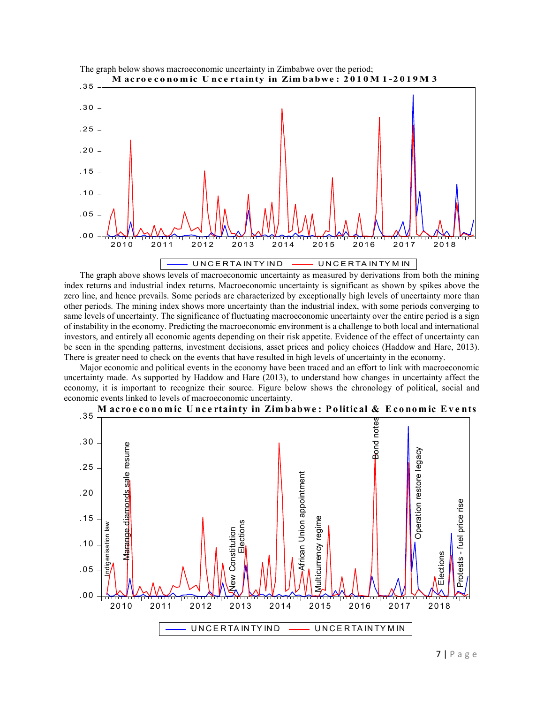

The graph above shows levels of macroeconomic uncertainty as measured by derivations from both the mining index returns and industrial index returns. Macroeconomic uncertainty is significant as shown by spikes above the zero line, and hence prevails. Some periods are characterized by exceptionally high levels of uncertainty more than other periods. The mining index shows more uncertainty than the industrial index, with some periods converging to same levels of uncertainty. The significance of fluctuating macroeconomic uncertainty over the entire period is a sign of instability in the economy. Predicting the macroeconomic environment is a challenge to both local and international investors, and entirely all economic agents depending on their risk appetite. Evidence of the effect of uncertainty can be seen in the spending patterns, investment decisions, asset prices and policy choices (Haddow and Hare, 2013). There is greater need to check on the events that have resulted in high levels of uncertainty in the economy.

Major economic and political events in the economy have been traced and an effort to link with macroeconomic uncertainty made. As supported by Haddow and Hare (2013), to understand how changes in uncertainty affect the economy, it is important to recognize their source. Figure below shows the chronology of political, social and economic events linked to levels of macroeconomic uncertainty.



M acroeconomic Uncertainty in Zimbabwe: Political & Economic Events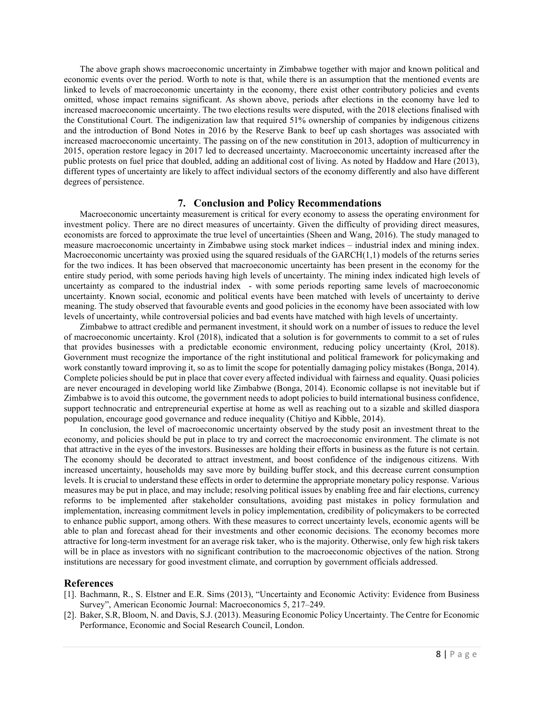The above graph shows macroeconomic uncertainty in Zimbabwe together with major and known political and economic events over the period. Worth to note is that, while there is an assumption that the mentioned events are linked to levels of macroeconomic uncertainty in the economy, there exist other contributory policies and events omitted, whose impact remains significant. As shown above, periods after elections in the economy have led to increased macroeconomic uncertainty. The two elections results were disputed, with the 2018 elections finalised with the Constitutional Court. The indigenization law that required 51% ownership of companies by indigenous citizens and the introduction of Bond Notes in 2016 by the Reserve Bank to beef up cash shortages was associated with increased macroeconomic uncertainty. The passing on of the new constitution in 2013, adoption of multicurrency in 2015, operation restore legacy in 2017 led to decreased uncertainty. Macroeconomic uncertainty increased after the public protests on fuel price that doubled, adding an additional cost of living. As noted by Haddow and Hare (2013), different types of uncertainty are likely to affect individual sectors of the economy differently and also have different degrees of persistence.

#### 7. Conclusion and Policy Recommendations

Macroeconomic uncertainty measurement is critical for every economy to assess the operating environment for investment policy. There are no direct measures of uncertainty. Given the difficulty of providing direct measures, economists are forced to approximate the true level of uncertainties (Sheen and Wang, 2016). The study managed to measure macroeconomic uncertainty in Zimbabwe using stock market indices – industrial index and mining index. Macroeconomic uncertainty was proxied using the squared residuals of the  $GARCH(1,1)$  models of the returns series for the two indices. It has been observed that macroeconomic uncertainty has been present in the economy for the entire study period, with some periods having high levels of uncertainty. The mining index indicated high levels of uncertainty as compared to the industrial index - with some periods reporting same levels of macroeconomic uncertainty. Known social, economic and political events have been matched with levels of uncertainty to derive meaning. The study observed that favourable events and good policies in the economy have been associated with low levels of uncertainty, while controversial policies and bad events have matched with high levels of uncertainty.

Zimbabwe to attract credible and permanent investment, it should work on a number of issues to reduce the level of macroeconomic uncertainty. Krol (2018), indicated that a solution is for governments to commit to a set of rules that provides businesses with a predictable economic environment, reducing policy uncertainty (Krol, 2018). Government must recognize the importance of the right institutional and political framework for policymaking and work constantly toward improving it, so as to limit the scope for potentially damaging policy mistakes (Bonga, 2014). Complete policies should be put in place that cover every affected individual with fairness and equality. Quasi policies are never encouraged in developing world like Zimbabwe (Bonga, 2014). Economic collapse is not inevitable but if Zimbabwe is to avoid this outcome, the government needs to adopt policies to build international business confidence, support technocratic and entrepreneurial expertise at home as well as reaching out to a sizable and skilled diaspora population, encourage good governance and reduce inequality (Chitiyo and Kibble, 2014).

In conclusion, the level of macroeconomic uncertainty observed by the study posit an investment threat to the economy, and policies should be put in place to try and correct the macroeconomic environment. The climate is not that attractive in the eyes of the investors. Businesses are holding their efforts in business as the future is not certain. The economy should be decorated to attract investment, and boost confidence of the indigenous citizens. With increased uncertainty, households may save more by building buffer stock, and this decrease current consumption levels. It is crucial to understand these effects in order to determine the appropriate monetary policy response. Various measures may be put in place, and may include; resolving political issues by enabling free and fair elections, currency reforms to be implemented after stakeholder consultations, avoiding past mistakes in policy formulation and implementation, increasing commitment levels in policy implementation, credibility of policymakers to be corrected to enhance public support, among others. With these measures to correct uncertainty levels, economic agents will be able to plan and forecast ahead for their investments and other economic decisions. The economy becomes more attractive for long-term investment for an average risk taker, who is the majority. Otherwise, only few high risk takers will be in place as investors with no significant contribution to the macroeconomic objectives of the nation. Strong institutions are necessary for good investment climate, and corruption by government officials addressed.

#### References

- [1]. Bachmann, R., S. Elstner and E.R. Sims (2013), "Uncertainty and Economic Activity: Evidence from Business Survey", American Economic Journal: Macroeconomics 5, 217–249.
- [2]. Baker, S.R, Bloom, N. and Davis, S.J. (2013). Measuring Economic Policy Uncertainty. The Centre for Economic Performance, Economic and Social Research Council, London.